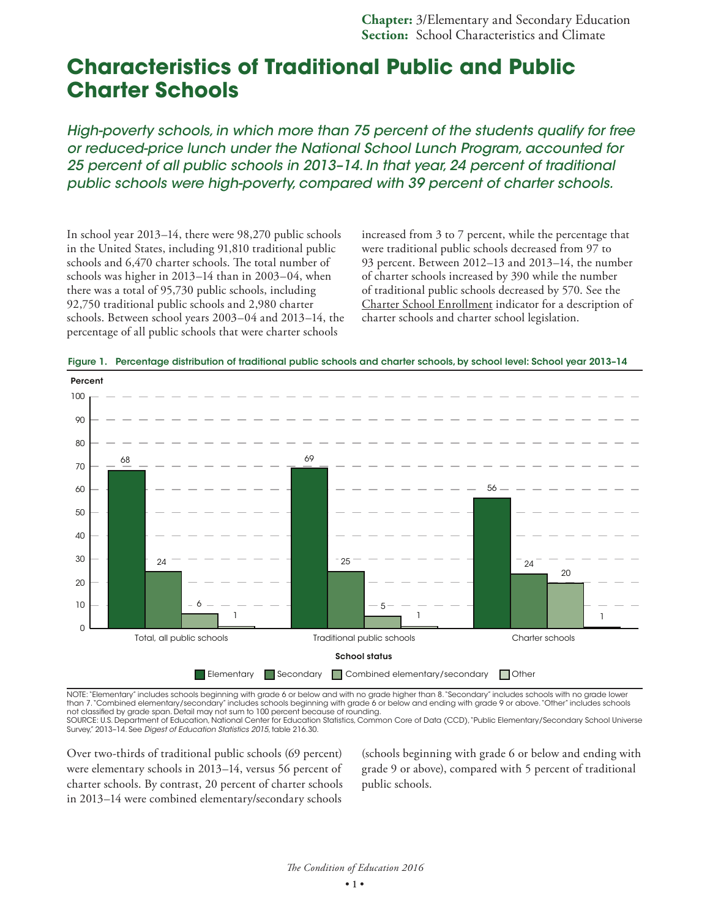## **Characteristics of Traditional Public and Public Charter Schools**

*High-poverty schools, in which more than 75 percent of the students qualify for free or reduced-price lunch under the National School Lunch Program, accounted for 25 percent of all public schools in 2013–14. In that year, 24 percent of traditional public schools were high-poverty, compared with 39 percent of charter schools.*

In school year 2013–14, there were 98,270 public schools in the United States, including 91,810 traditional public schools and 6,470 charter schools. The total number of schools was higher in 2013–14 than in 2003–04, when there was a total of 95,730 public schools, including 92,750 traditional public schools and 2,980 charter schools. Between school years 2003–04 and 2013–14, the percentage of all public schools that were charter schools

increased from 3 to 7 percent, while the percentage that were traditional public schools decreased from 97 to 93 percent. Between 2012–13 and 2013–14, the number of charter schools increased by 390 while the number of traditional public schools decreased by 570. See the [Charter School Enrollment](http://nces.ed.gov/programs/coe/indicator_cgb.asp) indicator for a description of charter schools and charter school legislation.



Figure 1. Percentage distribution of traditional public schools and charter schools, by school level: School year 2013–14

NOTE: "Elementary" includes schools beginning with grade 6 or below and with no grade higher than 8. "Secondary" includes schools with no grade lower than 7. "Combined elementary/secondary" includes schools beginning with grade 6 or below and ending with grade 9 or above. "Other" includes schools not classified by grade span. Detail may not sum to 100 percent because of rounding.

SOURCE: U.S. Department of Education, National Center for Education Statistics, Common Core of Data (CCD), "Public Elementary/Secondary School Universe<br>Survey," 2013-14. See *Digest of Education Statistics 2015,* table 216

Over two-thirds of traditional public schools (69 percent) were elementary schools in 2013–14, versus 56 percent of charter schools. By contrast, 20 percent of charter schools in 2013–14 were combined elementary/secondary schools

(schools beginning with grade 6 or below and ending with grade 9 or above), compared with 5 percent of traditional public schools.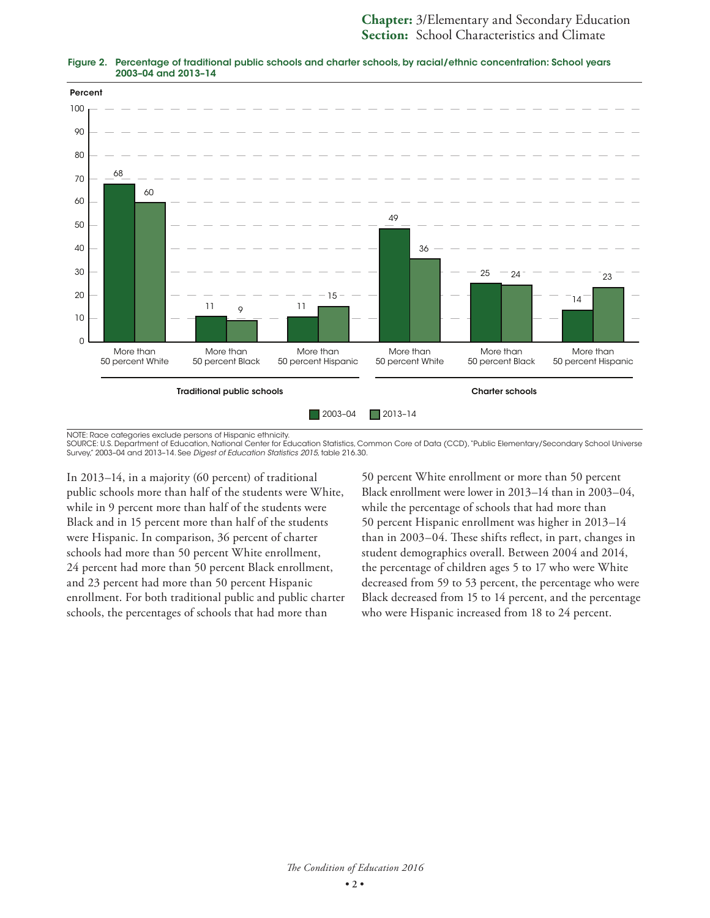

## Figure 2. Percentage of traditional public schools and charter schools, by racial/ethnic concentration: School years 2003–04 and 2013–14

NOTE: Race categories exclude persons of Hispanic ethnicity.

SOURCE: U.S. Department of Education, National Center for Education Statistics, Common Core of Data (CCD), "Public Elementary/Secondary School Universe Survey," 2003–04 and 2013–14. See *Digest of Education Statistics 2015*, table 216.30.

In 2013–14, in a majority (60 percent) of traditional public schools more than half of the students were White, while in 9 percent more than half of the students were Black and in 15 percent more than half of the students were Hispanic. In comparison, 36 percent of charter schools had more than 50 percent White enrollment, 24 percent had more than 50 percent Black enrollment, and 23 percent had more than 50 percent Hispanic enrollment. For both traditional public and public charter schools, the percentages of schools that had more than

50 percent White enrollment or more than 50 percent Black enrollment were lower in 2013–14 than in 2003–04, while the percentage of schools that had more than 50 percent Hispanic enrollment was higher in 2013–14 than in 2003–04. These shifts reflect, in part, changes in student demographics overall. Between 2004 and 2014, the percentage of children ages 5 to 17 who were White decreased from 59 to 53 percent, the percentage who were Black decreased from 15 to 14 percent, and the percentage who were Hispanic increased from 18 to 24 percent.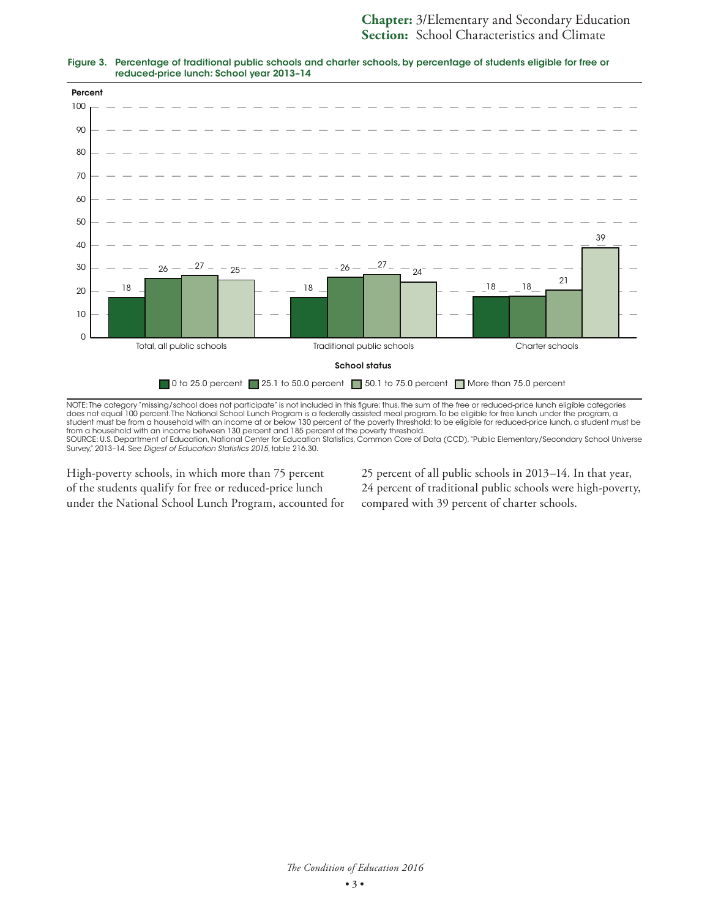

## Figure 3. Percentage of traditional public schools and charter schools, by percentage of students eligible for free or reduced-price lunch: School year 2013–14

NOTE:The category "missing/school does not participate" is not included in this figure; thus, the sum of the free or reduced-price lunch eligible categories<br>does not equal 100 percent.The National School Lunch Program is a student must be from a household with an income at or below 130 percent of the poverty threshold; to be eligible for reduced-price lunch, a student must be from a household with an income between 130 percent and 185 percent of the poverty threshold. SOURCE: U.S. Department of Education, National Center for Education Statistics, Common Core of Data (CCD), "Public Elementary/Secondary School Universe

Survey," 2013–14. See *Digest of Education Statistics 2015*, table 216.30.

High-poverty schools, in which more than 75 percent of the students qualify for free or reduced-price lunch under the National School Lunch Program, accounted for 25 percent of all public schools in 2013–14. In that year, 24 percent of traditional public schools were high-poverty, compared with 39 percent of charter schools.